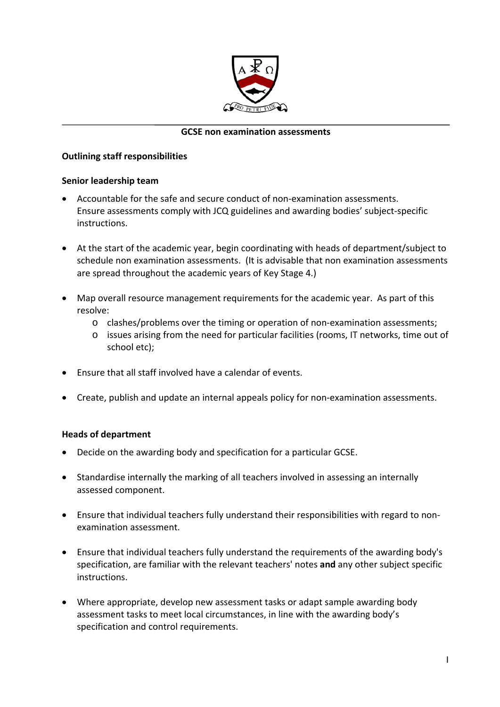

#### **GCSE non examination assessments**

#### **Outlining staff responsibilities**

#### **Senior leadership team**

- Accountable for the safe and secure conduct of non‐examination assessments. Ensure assessments comply with JCQ guidelines and awarding bodies' subject‐specific instructions.
- At the start of the academic year, begin coordinating with heads of department/subject to schedule non examination assessments. (It is advisable that non examination assessments are spread throughout the academic years of Key Stage 4.)
- Map overall resource management requirements for the academic year. As part of this resolve:
	- o clashes/problems over the timing or operation of non‐examination assessments;
	- o issues arising from the need for particular facilities (rooms, IT networks, time out of school etc);
- Ensure that all staff involved have a calendar of events.
- Create, publish and update an internal appeals policy for non-examination assessments.

## **Heads of department**

- Decide on the awarding body and specification for a particular GCSE.
- Standardise internally the marking of all teachers involved in assessing an internally assessed component.
- Ensure that individual teachers fully understand their responsibilities with regard to non‐ examination assessment.
- Ensure that individual teachers fully understand the requirements of the awarding body's specification, are familiar with the relevant teachers' notes **and** any other subject specific instructions.
- Where appropriate, develop new assessment tasks or adapt sample awarding body assessment tasks to meet local circumstances, in line with the awarding body's specification and control requirements.